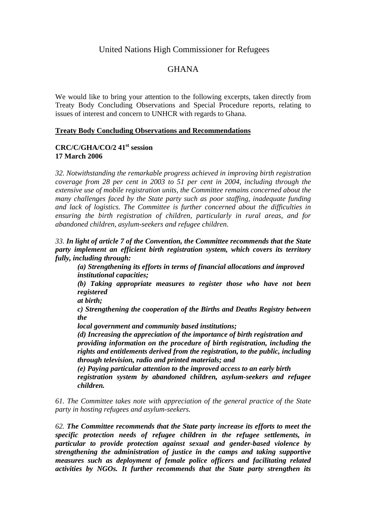## United Nations High Commissioner for Refugees

# GHANA

We would like to bring your attention to the following excerpts, taken directly from Treaty Body Concluding Observations and Special Procedure reports, relating to issues of interest and concern to UNHCR with regards to Ghana.

#### **Treaty Body Concluding Observations and Recommendations**

### **CRC/C/GHA/CO/2 41st session 17 March 2006**

*32. Notwithstanding the remarkable progress achieved in improving birth registration coverage from 28 per cent in 2003 to 51 per cent in 2004, including through the extensive use of mobile registration units, the Committee remains concerned about the many challenges faced by the State party such as poor staffing, inadequate funding and lack of logistics. The Committee is further concerned about the difficulties in ensuring the birth registration of children, particularly in rural areas, and for abandoned children, asylum-seekers and refugee children.* 

*33. In light of article 7 of the Convention, the Committee recommends that the State party implement an efficient birth registration system, which covers its territory fully, including through:* 

*(a) Strengthening its efforts in terms of financial allocations and improved institutional capacities;* 

*(b) Taking appropriate measures to register those who have not been registered* 

*at birth;* 

*c) Strengthening the cooperation of the Births and Deaths Registry between the* 

*local government and community based institutions;* 

*(d) Increasing the appreciation of the importance of birth registration and providing information on the procedure of birth registration, including the rights and entitlements derived from the registration, to the public, including through television, radio and printed materials; and* 

*(e) Paying particular attention to the improved access to an early birth registration system by abandoned children, asylum-seekers and refugee children.*

*61. The Committee takes note with appreciation of the general practice of the State party in hosting refugees and asylum-seekers.* 

*62. The Committee recommends that the State party increase its efforts to meet the specific protection needs of refugee children in the refugee settlements, in particular to provide protection against sexual and gender-based violence by strengthening the administration of justice in the camps and taking supportive measures such as deployment of female police officers and facilitating related activities by NGOs. It further recommends that the State party strengthen its*